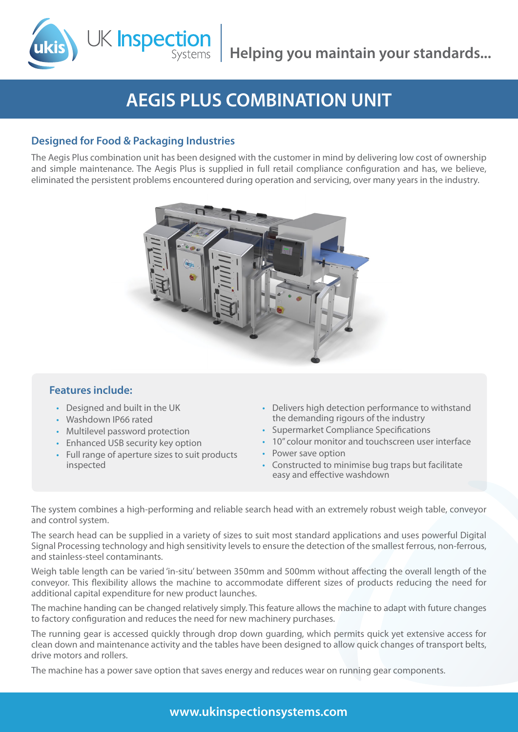**Helping you maintain your standards...**

# **AEGIS PLUS COMBINATION UNIT**

## **Designed for Food & Packaging Industries**

K Inspectior

The Aegis Plus combination unit has been designed with the customer in mind by delivering low cost of ownership and simple maintenance. The Aegis Plus is supplied in full retail compliance configuration and has, we believe, eliminated the persistent problems encountered during operation and servicing, over many years in the industry.



### **Features include:**

- • Designed and built in the UK
- • Washdown IP66 rated
- Multilevel password protection
- Enhanced USB security key option
- • Full range of aperture sizes to suit products inspected
- Delivers high detection performance to withstand the demanding rigours of the industry
- • Supermarket Compliance Specifications
- 10" colour monitor and touchscreen user interface
- Power save option
- Constructed to minimise bug traps but facilitate easy and effective washdown

The system combines a high-performing and reliable search head with an extremely robust weigh table, conveyor and control system.

The search head can be supplied in a variety of sizes to suit most standard applications and uses powerful Digital Signal Processing technology and high sensitivity levels to ensure the detection of the smallest ferrous, non-ferrous, and stainless-steel contaminants.

Weigh table length can be varied 'in-situ' between 350mm and 500mm without affecting the overall length of the conveyor. This flexibility allows the machine to accommodate different sizes of products reducing the need for additional capital expenditure for new product launches.

The machine handing can be changed relatively simply. This feature allows the machine to adapt with future changes to factory configuration and reduces the need for new machinery purchases.

The running gear is accessed quickly through drop down guarding, which permits quick yet extensive access for clean down and maintenance activity and the tables have been designed to allow quick changes of transport belts, drive motors and rollers.

The machine has a power save option that saves energy and reduces wear on running gear components.

**www.ukinspectionsystems.com**